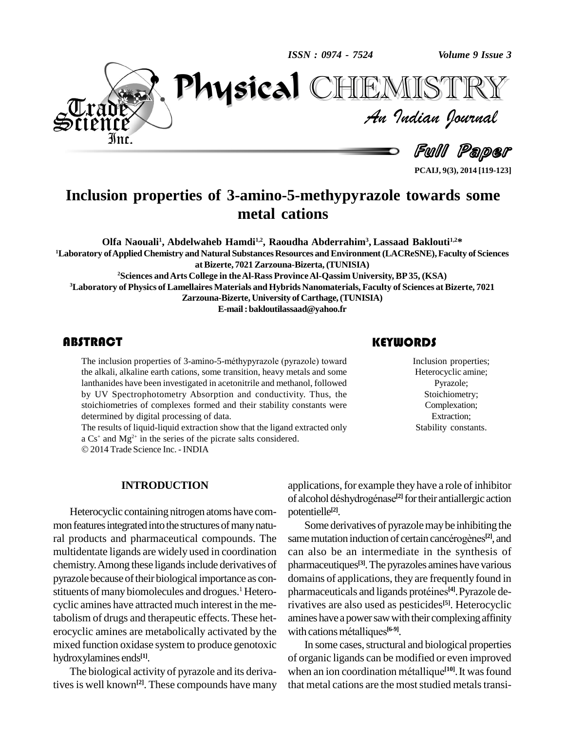*ISSN : 0974 - 7524*

*Volume 9 Issue 3*<br>ISTRY<br>*Indian Iournal Volume 9 Issue 3*



Full Paper

TEMISTRY

**PCAIJ, 9(3), 2014 [119-123]**

# **Inclusion properties of 3-amino-5-methypyrazole towards some metal cations**

**Olfa Naouali<sup>1</sup> , Abdelwaheb Hamdi1,2 , Raoudha Abderrahim<sup>3</sup> , Lassaad Baklouti1,2\* <sup>1</sup>Laboratory ofAppliedChemistry and Natural SubstancesResources andEnvironment(LACReSNE),Faculty of Sciences atBizerte, 7021Zarzouna-Bizerta, (TUNISIA) <sup>2</sup>Sciences andArts College in theAl-Rass ProvinceAl-Qassim University, BP35, (KSA) <sup>3</sup>Laboratory of Physics of Lamellaires Materials andHybrids Nanomaterials, Faculty of Sciences at Bizerte, 7021 Zarzouna-Bizerte, University of Carthage,(TUNISIA) E-mail:[bakloutilassaad@yahoo.fr](mailto:bakloutilassaad@yahoo.fr)**

The inclusion properties<br>the alkali, alkaline earth<br>lanthanides have been in ITRACT<br>The inclusion properties of 3-amino-5-méthypyrazole (pyrazole) toward the alkali, alkaline earth cations, some transition, heavy metals and some lanthanides have been investigated in acetonitrile and methanol, followed by UV Spectrophotometry Absorption and conductivity. Thus, the stoichiometries of complexes formed and their stability constants were determined by digital processing of data.

The results of liquid-liquid extraction show that the ligand extracted only The results of liquid-liquid extraction show that the ligand extracta  $\alpha$  Cs<sup>+</sup> and Mg<sup>2+</sup> in the series of the picrate salts considered.

2014Trade Science Inc. - INDIA

#### **INTRODUCTION**

Heterocyclic containing nitrogen atoms have com mon features integrated into the structures of many natural products and pharmaceutical compounds. The multidentate ligands are widely used in coordination chemistry.Among these ligandsinclude derivatives of pyrazole because of their biological importance as constituents of many biomolecules and drogues.<sup>1</sup> Heterocyclic amines have attracted much interest in the metabolism of drugs and therapeutic effects. These het erocyclic amines are metabolically activated by the mixed function oxidase system to produce genotoxic hydroxylamines ends **[1]**.

The biological activity of pyrazole and its derivatives is well known<sup>[2]</sup>. These compounds have many that me

Inclusion proper<br>Heterocyclic ami<br>Pyrazole; Inclusion properties; Heterocyclic amine; Pyrazole; Stoichiometry; Complexation; Extraction; Stability constants.

applications, for example they have a role of inhibitor applications, for example they have a role of inhibitor<br>of alcohol déshydrogénase<sup>[2]</sup> for their antiallergic action potentielle **[2]**.

Some derivatives of pyrazolemaybe inhibiting the potentielle<sup>[2]</sup>.<br>Some derivatives of pyrazole may be inhibiting the<br>same mutation induction of certain cancérogènes<sup>[2]</sup>, and can also be an intermediate in the synthesis of pharmaceutiques **[3]**.The pyrazoles amines have various domains of applications, they are frequently found in pharmaceutiques<sup>[3]</sup>. The pyrazoles amines have<br>domains of applications, they are frequently f<br>pharmaceuticals and ligands protéines<sup>[4]</sup>. Pyraz pharmaceuticals and ligands protéines<sup>[4]</sup>. Pyrazole derivatives are also used as pesticides **[5]**. Heterocyclic amines have a power saw with their complexing affinity rivatives are also used as pesti<br>amines have a power saw with th<br>with cations métalliques<sup>[6-9]</sup>. with cations métalliques<sup>[6-9]</sup>.

In some cases, structural and biological properties of organic ligands can be modified or even improved In some cases, structural and biological pro<br>of organic ligands can be modified or even im<br>when an ion coordination métallique<sup>[10]</sup>. It was when an ion coordination métallique<sup>[10]</sup>. It was found that metal cations are the most studied metals transi-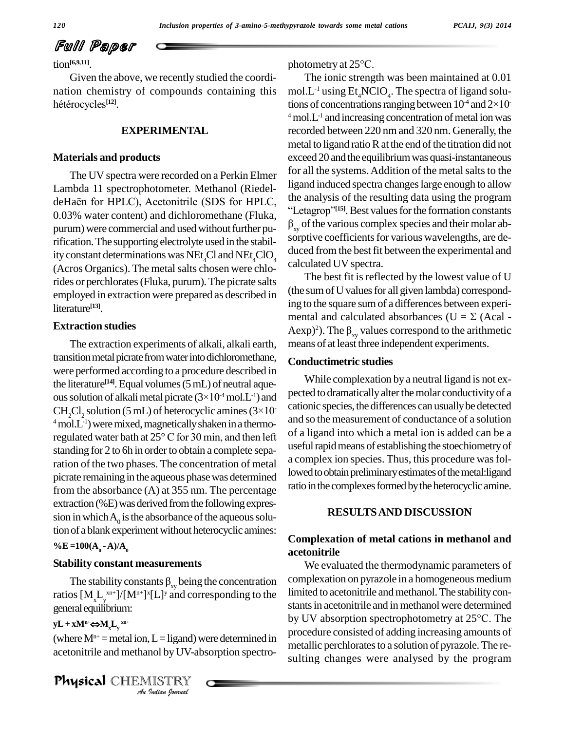# Full Paper

 $tion^{[6,9,11]}$ 

Given the above, we recently studied the coordination chemistry of compounds containing this hétérocycles<sup>[12]</sup>.

#### **EXPERIMENTAL**

#### **Materials and products**

The UV spectra were recorded on a Perkin Elmer Lambda 11 spectrophotometer. Methanol (Riedelde Haën for HPLC), Acetonitrile (SDS for HPLC, 0.03% water content) and dichloromethane (Fluka, purum) were commercial and used without further purification. The supporting electrolyte used in the stability constant determinations was NEt<sub>4</sub>Cl and NEt<sub>4</sub>ClO<sub>4</sub> (Acros Organics). The metal salts chosen were chlorides or perchlorates (Fluka, purum). The picrate salts employed in extraction were prepared as described in literature<sup>[13]</sup>.

#### **Extraction studies**

The extraction experiments of alkali, alkali earth, transition metal picrate from water into dichloromethane, were performed according to a procedure described in the literature<sup>[14]</sup>. Equal volumes  $(5 \text{ mL})$  of neutral aqueous solution of alkali metal picrate  $(3\times10^4 \text{ mol} \text{L}^{-1})$  and CH<sub>2</sub>Cl<sub>2</sub> solution (5 mL) of heterocyclic amines ( $3\times10^{-1}$  $4 \text{ mol.L-1}$ ) were mixed, magnetically shaken in a thermoregulated water bath at 25° C for 30 min, and then left standing for 2 to 6h in order to obtain a complete separation of the two phases. The concentration of metal picrate remaining in the aqueous phase was determined from the absorbance  $(A)$  at 355 nm. The percentage extraction (%E) was derived from the following expression in which  $A_0$  is the absorbance of the aqueous solution of a blank experiment without heterocyclic amines:

#### %E =  $100(A_0 - A)/A_0$

#### **Stability constant measurements**

The stability constants  $\beta_{xy}$  being the concentration ratios  $[M_{\nu}L_{\nu}^{xn+}]/[M^{n+}]^x[L]^y$  and corresponding to the general equilibrium:

#### $yL + xM^{n+}\n\Leftrightarrow M_{x}L_{y}^{n+}$

(where  $M^{n+}$  = metal ion, L = ligand) were determined in acetonitrile and methanol by UV-absorption spectro-

**Physical** CHEMISTRY

photometry at  $25^{\circ}$ C.

The ionic strength was been maintained at 0.01 mol.L<sup>-1</sup> using  $Et_A NClO_A$ . The spectra of ligand solutions of concentrations ranging between  $10^4$  and  $2 \times 10^ 4 \text{ mol.L-1}$  and increasing concentration of metal ion was recorded between 220 nm and 320 nm. Generally, the metal to ligand ratio R at the end of the titration did not exceed 20 and the equilibrium was quasi-instantaneous for all the systems. Addition of the metal salts to the ligand induced spectra changes large enough to allow the analysis of the resulting data using the program "Letagrop"<sup>[15]</sup>. Best values for the formation constants  $\beta_{\rm w}$  of the various complex species and their molar absorptive coefficients for various wavelengths, are deduced from the best fit between the experimental and calculated UV spectra.

The best fit is reflected by the lowest value of U (the sum of U values for all given lambda) corresponding to the square sum of a differences between experimental and calculated absorbances ( $U = \Sigma$  (Acal -Aexp)<sup>2</sup>). The  $\beta_{xy}$  values correspond to the arithmetic means of at least three independent experiments.

#### **Conductimetric studies**

While complexation by a neutral ligand is not expected to dramatically alter the molar conductivity of a cationic species, the differences can usually be detected and so the measurement of conductance of a solution of a ligand into which a metal ion is added can be a useful rapid means of establishing the stoechiometry of a complex ion species. Thus, this procedure was followed to obtain preliminary estimates of the metal: ligand ratio in the complexes formed by the heterocyclic amine.

#### **RESULTS AND DISCUSSION**

### Complexation of metal cations in methanol and acetonitrile

We evaluated the thermodynamic parameters of complexation on pyrazole in a homogeneous medium limited to acetonitrile and methanol. The stability constants in acetonitrile and in methanol were determined by UV absorption spectrophotometry at 25°C. The procedure consisted of adding increasing amounts of metallic perchlorates to a solution of pyrazole. The resulting changes were analysed by the program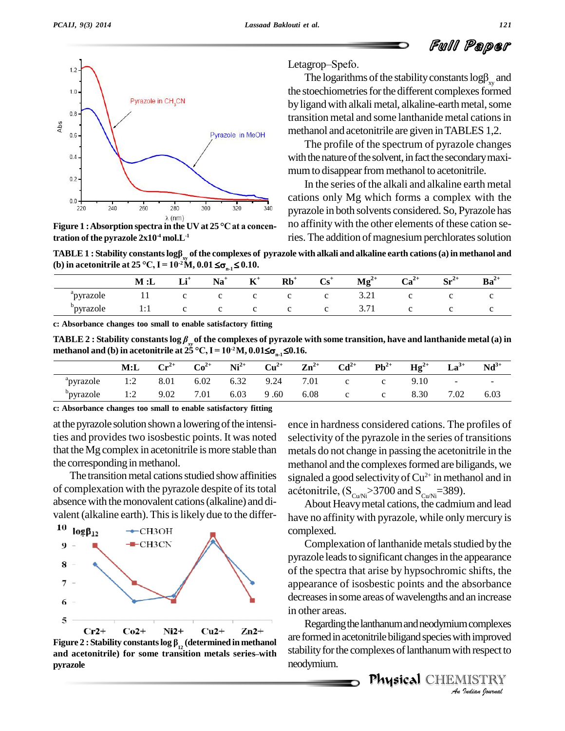# Full Paper



Figure 1 : Absorption spectra in the UV at  $25^{\circ}$ C at a concentration of the pyrazole  $2x10^4$  mol.  $L^{-1}$ 

Letagrop-Spefo.

The logarithms of the stability constants  $log\beta_{xy}$  and the stoechiometries for the different complexes formed by ligand with alkali metal, alkaline-earth metal, some transition metal and some lanthanide metal cations in methanol and acetonitrile are given in TABLES 1,2.

The profile of the spectrum of pyrazole changes with the nature of the solvent, in fact the secondary maximum to disappear from methanol to acetonitrile.

In the series of the alkali and alkaline earth metal cations only Mg which forms a complex with the pyrazole in both solvents considered. So, Pyrazole has no affinity with the other elements of these cation series. The addition of magnesium perchlorates solution

TABLE 1 : Stability constants  $log \beta_{xy}$  of the complexes of pyrazole with alkali and alkaline earth cations (a) in methanol and (b) in acetonitrile at 25 °C, I =  $10^{2}$ M, 0.01  $\leq \sigma_{n,1} \leq 0.10$ .

|           | M : L | $I^+$<br>ш. | Na | $\mathbf{K}^+$ | $Rb^+$ | $\mathbf{Cs}^+$ | $Mg^{2+}$ | $Ca^{2+}$ | $C - 4$<br>ΜL | $\mathbf{Ba}^{2+}$ |
|-----------|-------|-------------|----|----------------|--------|-----------------|-----------|-----------|---------------|--------------------|
| `pyrazole | . .   |             |    |                |        | ັ               | 3.21      |           |               |                    |
| pyrazole  | .     |             |    |                |        | ◡               | 3.1'      |           |               |                    |

c: Absorbance changes too small to enable satisfactory fitting

TABLE 2 : Stability constants  $\log \beta_{r}$  of the complexes of pyrazole with some transition, have and lanthanide metal (a) in methanol and (b) in acetonitrile at 25 °C, I =  $10^{2}$ M, 0.01 $\leq \sigma_{n,1} \leq 0.16$ .

|                        | M: L | $\mathbf{Cr}^{2+}$ | $Co2+$ | $Ni2+$ |      | $Cu^{2+}$ $Zn^{2+}$ | $Cd^{2+}$                 | $\mathbf{Pb}^{2+}$ | $Hg^{2+}$ | $La^{3+}$ | $Nd^{3+}$ |
|------------------------|------|--------------------|--------|--------|------|---------------------|---------------------------|--------------------|-----------|-----------|-----------|
| <sup>"</sup> pyrazole" | 1:2  | 8.01               | 6.02   | 6.32   | 9.24 | 7.01                |                           |                    | 9.10      | $\sim$    |           |
| <sup>b</sup> pyrazole  | 1:2  | 9.02               | 7.01   | 6.03   | 9.60 | 6.08                | $\mathbf{c}$ $\mathbf{c}$ |                    | 8.30      | 7.02      | 6.03      |

c: Absorbance changes too small to enable satisfactory fitting

at the pyrazole solution shown a lowering of the intensities and provides two isosbestic points. It was noted that the Mg complex in acetonitrile is more stable than the corresponding in methanol.

The transition metal cations studied show affinities of complexation with the pyrazole despite of its total absence with the monovalent cations (alkaline) and divalent (alkaline earth). This is likely due to the differ-



Figure 2 : Stability constants  $\log \beta_{12}$  (determined in methanol and acetonitrile) for some transition metals series-with pyrazole

ence in hardness considered cations. The profiles of selectivity of the pyrazole in the series of transitions metals do not change in passing the acetonitrile in the methanol and the complexes formed are biligands, we signaled a good selectivity of  $Cu^{2+}$  in methanol and in acétonitrile,  $(S_{\text{Cu/Ni}} > 3700$  and  $S_{\text{Cu/Ni}} = 389$ .

About Heavy metal cations, the cadmium and lead have no affinity with pyrazole, while only mercury is complexed.

Complexation of lanthanide metals studied by the pyrazole leads to significant changes in the appearance of the spectra that arise by hypsochromic shifts, the appearance of isosbestic points and the absorbance decreases in some areas of wavelengths and an increase in other areas.

Regarding the lanthanum and neodymium complexes are formed in acetonitrile biligand species with improved stability for the complexes of lanthanum with respect to neodymium.

**Physical CHEMISTRY** 

An Indian Journal

121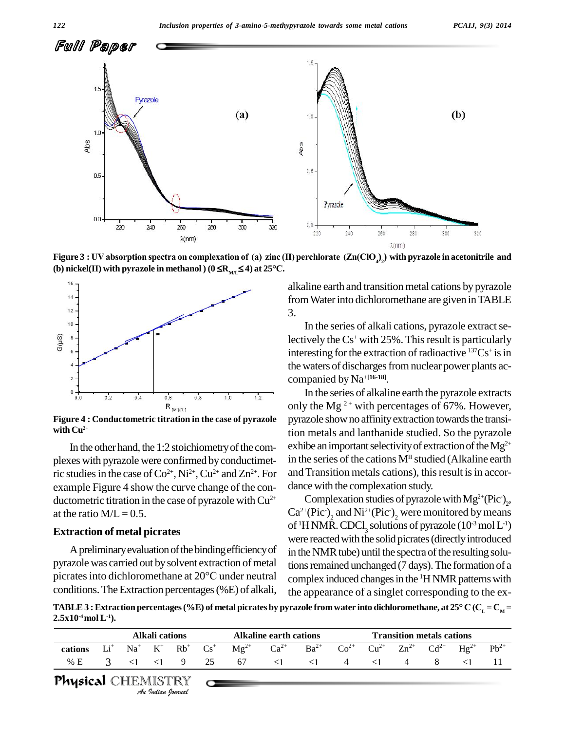

**(b) nickel(II)** with pyrazole in methanol )  $(0 \le R_{ML} \le 4)$  at 25°C.



**Figure 4 : Conductometric titration in the case of pyrazole with Cu 2+**

In the other hand, the 1:2 stoichiometry of the complexes with pyrazole were confirmed by conductimetric studies in the case of  $Co^{2+}$ ,  $Ni^{2+}$ ,  $Cu^{2+}$  and  $Zn^{2+}$ . For and example Figure 4 show the curve change of the con ductometric titration in the case of pyrazole with  $Cu^{2+}$  C at the ratio  $M/L = 0.5$ .

#### **Extraction of metal picrates**

A preliminary evaluation of the binding efficiency of pyrazole was carried out by solvent extraction of metal tio A preliminary evaluation of the binding efficiency of<br>pyrazole was carried out by solvent extraction of metal<br>picrates into dichloromethane at  $20^{\circ}$ C under neutral conditions. The Extraction percentages (%E) of alkali,

alkaline earth and transition metal cations by pyrazole fromWaterinto dichloromethane are given inTABLE 3.

In the series of alkali cations, pyrazole extract selectively the Cs<sup>+</sup> with 25%. This result is particularly interesting for the extraction of radioactive  $137Cs^+$  is in the waters of discharges from nuclear power plants accompanied by Na <sup>+</sup>**[16-18]**.

In the series of alkaline earth the pyrazole extracts only the Mg<sup>2+</sup> with percentages of 67%. However, pyrazole show no affinity extraction towards the transition metals and lanthanide studied. So the pyrazole exhibe an important selectivity of extraction of the  $Mg^{2+}$ in the series of the cations  $M<sup>II</sup>$  studied (Alkaline earth and Transition metals cations), this result is in accordance with the complexation study.

Complexation studies of pyrazole with  $Mg^{2+}(Pic^-)_2$ ,  $\text{Ca}^{2+}(\text{Pic}^{\bullet})_{2}$  and  $\text{Ni}^{2+}(\text{Pic}^{\bullet})_{2}$  were monitored by means of <sup>1</sup>H NMR. CDCl<sub>3</sub> solutions of pyrazole ( $10^3$  mol L<sup>-1</sup>) were reacted with the solid picrates (directly introduced in the NMR tube) until the spectra of the resulting solutions remained unchanged (7 days). The formation of a complex induced changes in the <sup>1</sup>H NMR patterns with the appearance of a singlet corresponding to the ex-

conditions. The Extraction percentages (%E) of alkali, the appearance of a singlet corresponding to the ex-<br>TABLE 3: Extraction percentages (%E) of metal picrates by pyrazole from water into dichloromethane, at 25° C (C<sub>L</sub>  $2.5x10^4 \text{mol L}^{-1}$ ).

| cations |               |          | Alkali cations |      | <b>Alkaline earth cations</b>                                                                                                                                                                                 |          |          | <b>Transition metals cations</b> |          |   |     |  |           |  |
|---------|---------------|----------|----------------|------|---------------------------------------------------------------------------------------------------------------------------------------------------------------------------------------------------------------|----------|----------|----------------------------------|----------|---|-----|--|-----------|--|
|         |               |          |                |      | $Li^+$ Na <sup>+</sup> K <sup>+</sup> Rb <sup>+</sup> Cs <sup>+</sup> Mg <sup>2+</sup> Ca <sup>2+</sup> Ba <sup>2+</sup> Co <sup>2+</sup> Cu <sup>2+</sup> Zn <sup>2+</sup> Cd <sup>2+</sup> Hg <sup>2+</sup> |          |          |                                  |          |   |     |  | $Pb^{2+}$ |  |
| % E     | $\mathcal{R}$ | $\leq$ 1 | $\leq$ 1       | 9 25 | 67 — 10                                                                                                                                                                                                       | $\leq$ 1 | $\leq$ 1 | 4                                | $\leq$ 1 | 4 | - 8 |  |           |  |